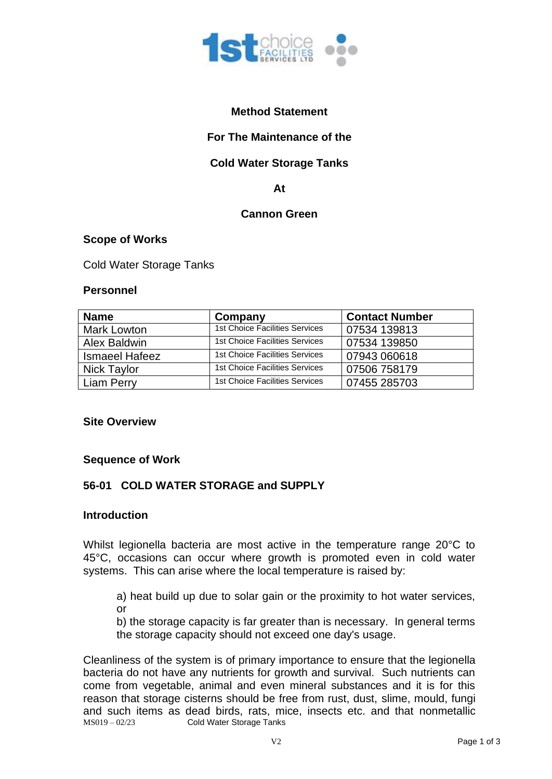

## **Method Statement**

## **For The Maintenance of the**

## **Cold Water Storage Tanks**

#### **At**

## **Cannon Green**

#### **Scope of Works**

Cold Water Storage Tanks

#### **Personnel**

| <b>Name</b>           | Company                               | <b>Contact Number</b> |
|-----------------------|---------------------------------------|-----------------------|
| <b>Mark Lowton</b>    | 1st Choice Facilities Services        | 07534 139813          |
| Alex Baldwin          | 1st Choice Facilities Services        | 07534 139850          |
| <b>Ismaeel Hafeez</b> | 1st Choice Facilities Services        | 07943 060618          |
| <b>Nick Taylor</b>    | <b>1st Choice Facilities Services</b> | 07506 758179          |
| <b>Liam Perry</b>     | <b>1st Choice Facilities Services</b> | 07455 285703          |

#### **Site Overview**

#### **Sequence of Work**

### **56-01 COLD WATER STORAGE and SUPPLY**

#### **Introduction**

Whilst legionella bacteria are most active in the temperature range 20°C to 45°C, occasions can occur where growth is promoted even in cold water systems. This can arise where the local temperature is raised by:

a) heat build up due to solar gain or the proximity to hot water services, or

b) the storage capacity is far greater than is necessary. In general terms the storage capacity should not exceed one day's usage.

MS019 – 02/23 Cold Water Storage Tanks Cleanliness of the system is of primary importance to ensure that the legionella bacteria do not have any nutrients for growth and survival. Such nutrients can come from vegetable, animal and even mineral substances and it is for this reason that storage cisterns should be free from rust, dust, slime, mould, fungi and such items as dead birds, rats, mice, insects etc. and that nonmetallic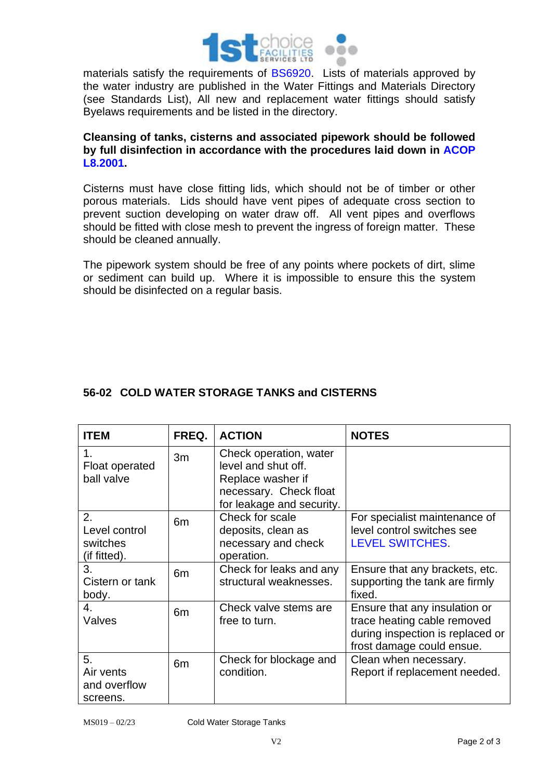

materials satisfy the requirements of BS6920. Lists of materials approved by the water industry are published in the Water Fittings and Materials Directory (see Standards List), All new and replacement water fittings should satisfy Byelaws requirements and be listed in the directory.

### **Cleansing of tanks, cisterns and associated pipework should be followed by full disinfection in accordance with the procedures laid down in ACOP L8.2001.**

Cisterns must have close fitting lids, which should not be of timber or other porous materials. Lids should have vent pipes of adequate cross section to prevent suction developing on water draw off. All vent pipes and overflows should be fitted with close mesh to prevent the ingress of foreign matter. These should be cleaned annually.

The pipework system should be free of any points where pockets of dirt, slime or sediment can build up. Where it is impossible to ensure this the system should be disinfected on a regular basis.

# **56-02 COLD WATER STORAGE TANKS and CISTERNS**

| <b>ITEM</b>                                     | FREQ.          | <b>ACTION</b>                                                                                                             | <b>NOTES</b>                                                                                                                  |
|-------------------------------------------------|----------------|---------------------------------------------------------------------------------------------------------------------------|-------------------------------------------------------------------------------------------------------------------------------|
| 1.<br>Float operated<br>ball valve              | 3m             | Check operation, water<br>level and shut off.<br>Replace washer if<br>necessary. Check float<br>for leakage and security. |                                                                                                                               |
| 2.<br>Level control<br>switches<br>(if fitted). | 6 <sub>m</sub> | Check for scale<br>deposits, clean as<br>necessary and check<br>operation.                                                | For specialist maintenance of<br>level control switches see<br><b>LEVEL SWITCHES.</b>                                         |
| 3.<br>Cistern or tank<br>body.                  | 6 <sub>m</sub> | Check for leaks and any<br>structural weaknesses.                                                                         | Ensure that any brackets, etc.<br>supporting the tank are firmly<br>fixed.                                                    |
| 4.<br>Valves                                    | 6 <sub>m</sub> | Check valve stems are<br>free to turn.                                                                                    | Ensure that any insulation or<br>trace heating cable removed<br>during inspection is replaced or<br>frost damage could ensue. |
| 5.<br>Air vents<br>and overflow<br>screens.     | 6 <sub>m</sub> | Check for blockage and<br>condition.                                                                                      | Clean when necessary.<br>Report if replacement needed.                                                                        |